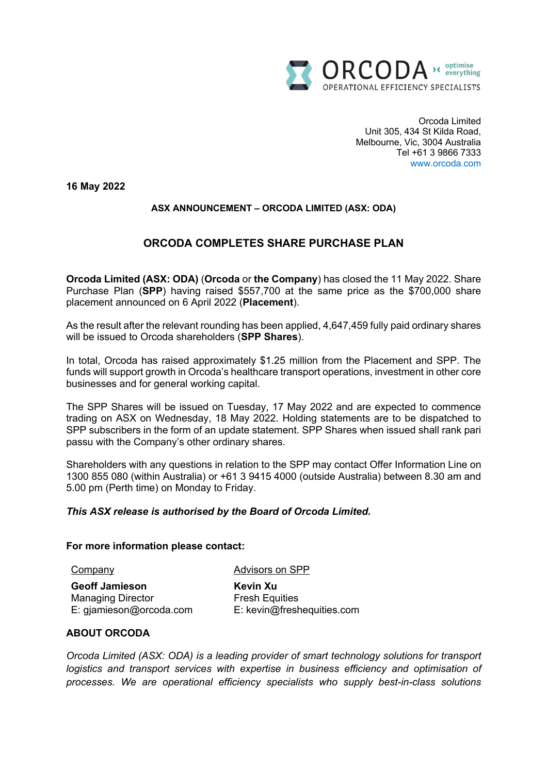

Orcoda Limited Unit 305, 434 St Kilda Road, Melbourne, Vic, 3004 Australia Tel +61 3 9866 7333 www.orcoda.com

**16 May 2022**

# **ASX ANNOUNCEMENT – ORCODA LIMITED (ASX: ODA)**

# **ORCODA COMPLETES SHARE PURCHASE PLAN**

**Orcoda Limited (ASX: ODA)** (**Orcoda** or **the Company**) has closed the 11 May 2022. Share Purchase Plan (**SPP**) having raised \$557,700 at the same price as the \$700,000 share placement announced on 6 April 2022 (**Placement**).

As the result after the relevant rounding has been applied, 4,647,459 fully paid ordinary shares will be issued to Orcoda shareholders (**SPP Shares**).

In total, Orcoda has raised approximately \$1.25 million from the Placement and SPP. The funds will support growth in Orcoda's healthcare transport operations, investment in other core businesses and for general working capital.

The SPP Shares will be issued on Tuesday, 17 May 2022 and are expected to commence trading on ASX on Wednesday, 18 May 2022. Holding statements are to be dispatched to SPP subscribers in the form of an update statement. SPP Shares when issued shall rank pari passu with the Company's other ordinary shares.

Shareholders with any questions in relation to the SPP may contact Offer Information Line on 1300 855 080 (within Australia) or +61 3 9415 4000 (outside Australia) between 8.30 am and 5.00 pm (Perth time) on Monday to Friday.

### *This ASX release is authorised by the Board of Orcoda Limited.*

#### **For more information please contact:**

Company

Advisors on SPP

**Geoff Jamieson** Managing Director E: gjamieson@orcoda.com **Kevin Xu** Fresh Equities E: kevin@freshequities.com

## **ABOUT ORCODA**

*Orcoda Limited (ASX: ODA) is a leading provider of smart technology solutions for transport logistics and transport services with expertise in business efficiency and optimisation of processes. We are operational efficiency specialists who supply best-in-class solutions*